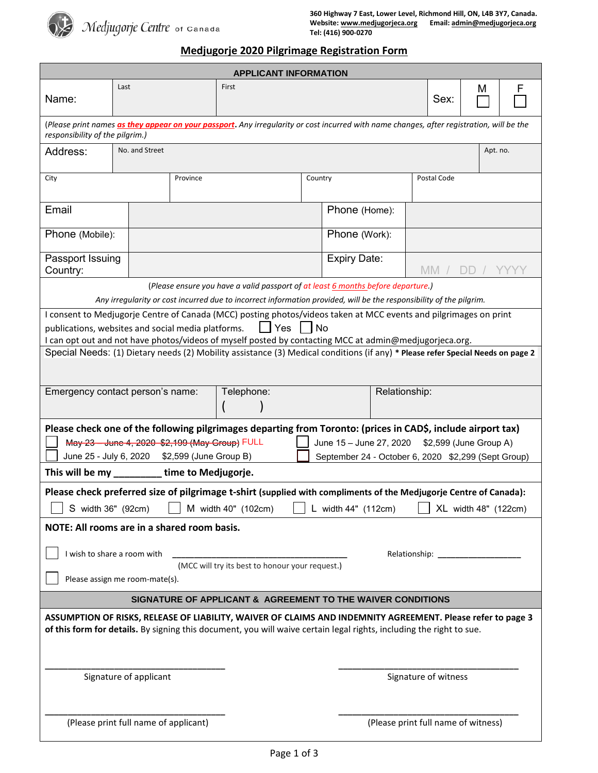

# **Medjugorje 2020 Pilgrimage Registration Form**

| <b>APPLICANT INFORMATION</b>                                                                                                                                                                                                             |                  |  |               |                     |  |                                     |             |      |   |   |  |
|------------------------------------------------------------------------------------------------------------------------------------------------------------------------------------------------------------------------------------------|------------------|--|---------------|---------------------|--|-------------------------------------|-------------|------|---|---|--|
| Name:                                                                                                                                                                                                                                    | Last             |  | First         |                     |  |                                     |             | Sex: | M | F |  |
| (Please print names as they appear on your passport. Any irregularity or cost incurred with name changes, after registration, will be the<br>responsibility of the pilgrim.)                                                             |                  |  |               |                     |  |                                     |             |      |   |   |  |
| Address:                                                                                                                                                                                                                                 | No. and Street   |  |               |                     |  | Apt. no.                            |             |      |   |   |  |
| City<br>Province                                                                                                                                                                                                                         |                  |  |               | Country             |  |                                     | Postal Code |      |   |   |  |
| Email                                                                                                                                                                                                                                    |                  |  | Phone (Home): |                     |  |                                     |             |      |   |   |  |
| Phone (Mobile):                                                                                                                                                                                                                          |                  |  |               | Phone (Work):       |  |                                     |             |      |   |   |  |
| Country:                                                                                                                                                                                                                                 | Passport Issuing |  |               | <b>Expiry Date:</b> |  |                                     | MM.         |      |   |   |  |
| (Please ensure you have a valid passport of at least 6 months before departure.)                                                                                                                                                         |                  |  |               |                     |  |                                     |             |      |   |   |  |
| Any irregularity or cost incurred due to incorrect information provided, will be the responsibility of the pilgrim.<br>I consent to Medjugorje Centre of Canada (MCC) posting photos/videos taken at MCC events and pilgrimages on print |                  |  |               |                     |  |                                     |             |      |   |   |  |
| $\Box$ Yes $\Box$ No<br>publications, websites and social media platforms.                                                                                                                                                               |                  |  |               |                     |  |                                     |             |      |   |   |  |
| I can opt out and not have photos/videos of myself posted by contacting MCC at admin@medjugorjeca.org.                                                                                                                                   |                  |  |               |                     |  |                                     |             |      |   |   |  |
| Special Needs: (1) Dietary needs (2) Mobility assistance (3) Medical conditions (if any) * Please refer Special Needs on page 2                                                                                                          |                  |  |               |                     |  |                                     |             |      |   |   |  |
| Emergency contact person's name:<br>Telephone:                                                                                                                                                                                           |                  |  |               |                     |  | Relationship:                       |             |      |   |   |  |
|                                                                                                                                                                                                                                          |                  |  |               |                     |  |                                     |             |      |   |   |  |
| Please check one of the following pilgrimages departing from Toronto: (prices in CAD\$, include airport tax)                                                                                                                             |                  |  |               |                     |  |                                     |             |      |   |   |  |
| May 23 June 4, 2020 \$2,199 (May Group) FULL<br>June 15 - June 27, 2020 \$2,599 (June Group A)                                                                                                                                           |                  |  |               |                     |  |                                     |             |      |   |   |  |
| September 24 - October 6, 2020 \$2,299 (Sept Group)<br>June 25 - July 6, 2020 \$2,599 (June Group B)                                                                                                                                     |                  |  |               |                     |  |                                     |             |      |   |   |  |
| This will be my __________<br>time to Medjugorje.                                                                                                                                                                                        |                  |  |               |                     |  |                                     |             |      |   |   |  |
| Please check preferred size of pilgrimage t-shirt (supplied with compliments of the Medjugorje Centre of Canada):                                                                                                                        |                  |  |               |                     |  |                                     |             |      |   |   |  |
| S width 36" (92cm)<br>M width 40" (102cm)<br>L width 44" (112cm)<br>XL width 48" (122cm)                                                                                                                                                 |                  |  |               |                     |  |                                     |             |      |   |   |  |
| NOTE: All rooms are in a shared room basis.                                                                                                                                                                                              |                  |  |               |                     |  |                                     |             |      |   |   |  |
| I wish to share a room with<br>Relationship:<br>(MCC will try its best to honour your request.)                                                                                                                                          |                  |  |               |                     |  |                                     |             |      |   |   |  |
| Please assign me room-mate(s).                                                                                                                                                                                                           |                  |  |               |                     |  |                                     |             |      |   |   |  |
| SIGNATURE OF APPLICANT & AGREEMENT TO THE WAIVER CONDITIONS                                                                                                                                                                              |                  |  |               |                     |  |                                     |             |      |   |   |  |
| ASSUMPTION OF RISKS, RELEASE OF LIABILITY, WAIVER OF CLAIMS AND INDEMNITY AGREEMENT. Please refer to page 3<br>of this form for details. By signing this document, you will waive certain legal rights, including the right to sue.      |                  |  |               |                     |  |                                     |             |      |   |   |  |
| Signature of applicant                                                                                                                                                                                                                   |                  |  |               |                     |  | Signature of witness                |             |      |   |   |  |
| (Please print full name of applicant)                                                                                                                                                                                                    |                  |  |               |                     |  | (Please print full name of witness) |             |      |   |   |  |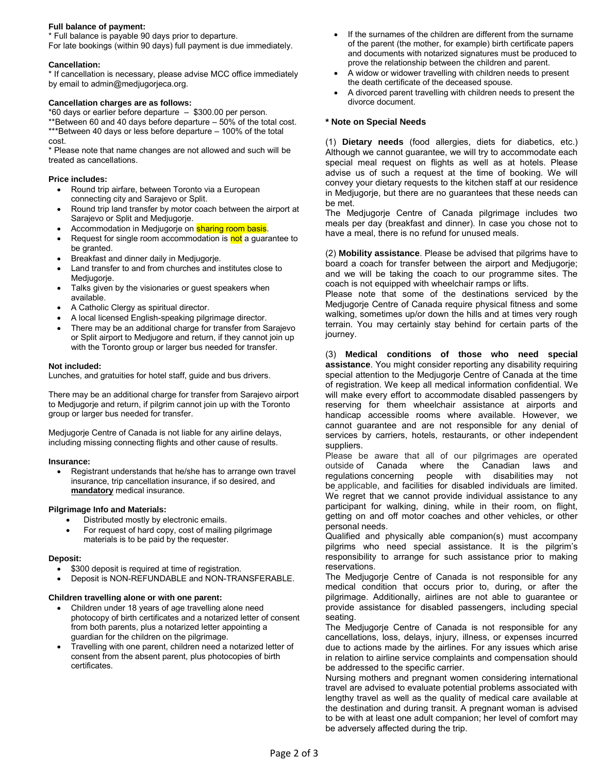#### **Full balance of payment:**

\* Full balance is payable 90 days prior to departure. For late bookings (within 90 days) full payment is due immediately.

#### **Cancellation:**

\* If cancellation is necessary, please advise MCC office immediately by email to admin@medjugorjeca.org.

#### **Cancellation charges are as follows:**

\*60 days or earlier before departure – \$300.00 per person.

\*\*Between 60 and 40 days before departure – 50% of the total cost. \*\*\*Between 40 days or less before departure – 100% of the total cost.

\* Please note that name changes are not allowed and such will be treated as cancellations.

#### **Price includes:**

- Round trip airfare, between Toronto via a European connecting city and Sarajevo or Split.
- Round trip land transfer by motor coach between the airport at Sarajevo or Split and Medjugorje.
- Accommodation in Medjugorje on **sharing room basis**.
- Request for single room accommodation is not a guarantee to be granted.
- Breakfast and dinner daily in Medjugorje.
- Land transfer to and from churches and institutes close to Medjugorje.
- Talks given by the visionaries or guest speakers when available.
- A Catholic Clergy as spiritual director.
- A local licensed English-speaking pilgrimage director.
- There may be an additional charge for transfer from Sarajevo or Split airport to Medjugore and return, if they cannot join up with the Toronto group or larger bus needed for transfer.

#### **Not included:**

Lunches, and gratuities for hotel staff, guide and bus drivers.

There may be an additional charge for transfer from Sarajevo airport to Medjugorje and return, if pilgrim cannot join up with the Toronto group or larger bus needed for transfer.

Medjugorje Centre of Canada is not liable for any airline delays, including missing connecting flights and other cause of results.

#### **Insurance:**

 Registrant understands that he/she has to arrange own travel insurance, trip cancellation insurance, if so desired, and **mandatory** medical insurance.

#### **Pilgrimage Info and Materials:**

- Distributed mostly by electronic emails.
- For request of hard copy, cost of mailing pilgrimage materials is to be paid by the requester.

#### **Deposit:**

- \$300 deposit is required at time of registration.
- Deposit is NON-REFUNDABLE and NON-TRANSFERABLE.

#### **Children travelling alone or with one parent:**

- Children under 18 years of age travelling alone need photocopy of birth certificates and a notarized letter of consent from both parents, plus a notarized letter appointing a guardian for the children on the pilgrimage.
- Travelling with one parent, children need a notarized letter of consent from the absent parent, plus photocopies of birth certificates.
- If the surnames of the children are different from the surname of the parent (the mother, for example) birth certificate papers and documents with notarized signatures must be produced to prove the relationship between the children and parent.
- A widow or widower travelling with children needs to present the death certificate of the deceased spouse.
- A divorced parent travelling with children needs to present the divorce document.

#### **\* Note on Special Needs**

(1) **Dietary needs** (food allergies, diets for diabetics, etc.) Although we cannot guarantee, we will try to accommodate each special meal request on flights as well as at hotels. Please advise us of such a request at the time of booking. We will convey your dietary requests to the kitchen staff at our residence in Medjugorje, but there are no guarantees that these needs can be met.

The Medjugorje Centre of Canada pilgrimage includes two meals per day (breakfast and dinner). In case you chose not to have a meal, there is no refund for unused meals.

(2) **Mobility assistance**. Please be advised that pilgrims have to board a coach for transfer between the airport and Medjugorje; and we will be taking the coach to our programme sites. The coach is not equipped with wheelchair ramps or lifts.

Please note that some of the destinations serviced by the Medjugorje Centre of Canada require physical fitness and some walking, sometimes up/or down the hills and at times very rough terrain. You may certainly stay behind for certain parts of the journey.

(3) **Medical conditions of those who need special assistance**. You might consider reporting any disability requiring special attention to the Medjugorje Centre of Canada at the time of registration. We keep all medical information confidential. We will make every effort to accommodate disabled passengers by reserving for them wheelchair assistance at airports and handicap accessible rooms where available. However, we cannot guarantee and are not responsible for any denial of services by carriers, hotels, restaurants, or other independent suppliers.

Please be aware that all of our pilgrimages are operated outside of Canada where the Canadian laws and regulations concerning people with disabilities may not be applicable, and facilities for disabled individuals are limited. We regret that we cannot provide individual assistance to any participant for walking, dining, while in their room, on flight, getting on and off motor coaches and other vehicles, or other personal needs.

Qualified and physically able companion(s) must accompany pilgrims who need special assistance. It is the pilgrim's responsibility to arrange for such assistance prior to making reservations.

The Medjugorje Centre of Canada is not responsible for any medical condition that occurs prior to, during, or after the pilgrimage. Additionally, airlines are not able to guarantee or provide assistance for disabled passengers, including special seating.

The Medjugorje Centre of Canada is not responsible for any cancellations, loss, delays, injury, illness, or expenses incurred due to actions made by the airlines. For any issues which arise in relation to airline service complaints and compensation should be addressed to the specific carrier.

Nursing mothers and pregnant women considering international travel are advised to evaluate potential problems associated with lengthy travel as well as the quality of medical care available at the destination and during transit. A pregnant woman is advised to be with at least one adult companion; her level of comfort may be adversely affected during the trip.